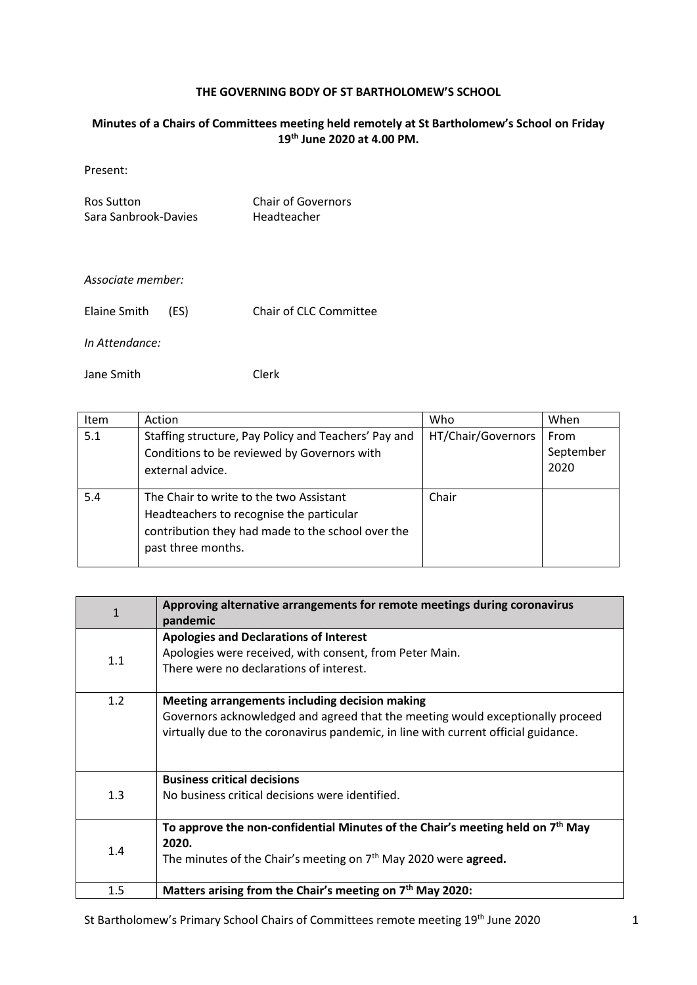## **THE GOVERNING BODY OF ST BARTHOLOMEW'S SCHOOL**

## **Minutes of a Chairs of Committees meeting held remotely at St Bartholomew's School on Friday 19th June 2020 at 4.00 PM.**

Present:

Ros Sutton Chair of Governors<br>
Sara Sanbrook-Davies Headteacher Sara Sanbrook-Davies

## *Associate member:*

| Elaine Smith | (ES) | Chair of CLC Committee |
|--------------|------|------------------------|
|--------------|------|------------------------|

*In Attendance:*

Jane Smith Clerk

| <b>Item</b> | Action                                                                                                                                                         | Who                | When                      |
|-------------|----------------------------------------------------------------------------------------------------------------------------------------------------------------|--------------------|---------------------------|
| 5.1         | Staffing structure, Pay Policy and Teachers' Pay and<br>Conditions to be reviewed by Governors with<br>external advice.                                        | HT/Chair/Governors | From<br>September<br>2020 |
| 5.4         | The Chair to write to the two Assistant<br>Headteachers to recognise the particular<br>contribution they had made to the school over the<br>past three months. | Chair              |                           |

| $\mathbf{1}$ | Approving alternative arrangements for remote meetings during coronavirus<br>pandemic                                                                                                                                  |
|--------------|------------------------------------------------------------------------------------------------------------------------------------------------------------------------------------------------------------------------|
| 1.1          | <b>Apologies and Declarations of Interest</b><br>Apologies were received, with consent, from Peter Main.<br>There were no declarations of interest.                                                                    |
| 1.2          | Meeting arrangements including decision making<br>Governors acknowledged and agreed that the meeting would exceptionally proceed<br>virtually due to the coronavirus pandemic, in line with current official guidance. |
| 1.3          | <b>Business critical decisions</b><br>No business critical decisions were identified.                                                                                                                                  |
| 1.4          | To approve the non-confidential Minutes of the Chair's meeting held on $7th$ May<br>2020.<br>The minutes of the Chair's meeting on 7 <sup>th</sup> May 2020 were <b>agreed.</b>                                        |
| 1.5          | Matters arising from the Chair's meeting on 7 <sup>th</sup> May 2020:                                                                                                                                                  |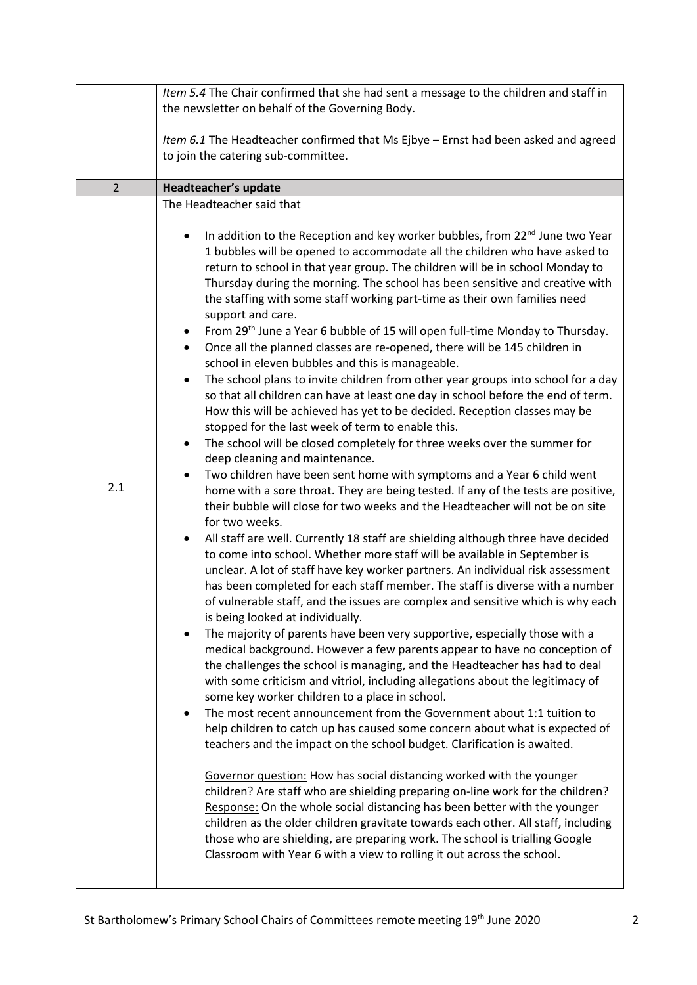|                | Item 5.4 The Chair confirmed that she had sent a message to the children and staff in                                                                                                                                                                                                                                                                                                                                                                                                                                                                                                                                                                                                                                                                                                                                                                                                                                                                                                                                                                                                                                                                                                                                                                                                                                                                                                                                                                                                                                                                                                                                                                                                                                                                                                                                                                                                                                                                                                                                                                                                                                                                                                                                                                                                                                                                                                                                                                                                                                                                                                                                                                                                                                                                                                                                                                                                                                                                                            |
|----------------|----------------------------------------------------------------------------------------------------------------------------------------------------------------------------------------------------------------------------------------------------------------------------------------------------------------------------------------------------------------------------------------------------------------------------------------------------------------------------------------------------------------------------------------------------------------------------------------------------------------------------------------------------------------------------------------------------------------------------------------------------------------------------------------------------------------------------------------------------------------------------------------------------------------------------------------------------------------------------------------------------------------------------------------------------------------------------------------------------------------------------------------------------------------------------------------------------------------------------------------------------------------------------------------------------------------------------------------------------------------------------------------------------------------------------------------------------------------------------------------------------------------------------------------------------------------------------------------------------------------------------------------------------------------------------------------------------------------------------------------------------------------------------------------------------------------------------------------------------------------------------------------------------------------------------------------------------------------------------------------------------------------------------------------------------------------------------------------------------------------------------------------------------------------------------------------------------------------------------------------------------------------------------------------------------------------------------------------------------------------------------------------------------------------------------------------------------------------------------------------------------------------------------------------------------------------------------------------------------------------------------------------------------------------------------------------------------------------------------------------------------------------------------------------------------------------------------------------------------------------------------------------------------------------------------------------------------------------------------------|
|                | the newsletter on behalf of the Governing Body.                                                                                                                                                                                                                                                                                                                                                                                                                                                                                                                                                                                                                                                                                                                                                                                                                                                                                                                                                                                                                                                                                                                                                                                                                                                                                                                                                                                                                                                                                                                                                                                                                                                                                                                                                                                                                                                                                                                                                                                                                                                                                                                                                                                                                                                                                                                                                                                                                                                                                                                                                                                                                                                                                                                                                                                                                                                                                                                                  |
|                | Item 6.1 The Headteacher confirmed that Ms Ejbye - Ernst had been asked and agreed<br>to join the catering sub-committee.                                                                                                                                                                                                                                                                                                                                                                                                                                                                                                                                                                                                                                                                                                                                                                                                                                                                                                                                                                                                                                                                                                                                                                                                                                                                                                                                                                                                                                                                                                                                                                                                                                                                                                                                                                                                                                                                                                                                                                                                                                                                                                                                                                                                                                                                                                                                                                                                                                                                                                                                                                                                                                                                                                                                                                                                                                                        |
| $\overline{2}$ | Headteacher's update                                                                                                                                                                                                                                                                                                                                                                                                                                                                                                                                                                                                                                                                                                                                                                                                                                                                                                                                                                                                                                                                                                                                                                                                                                                                                                                                                                                                                                                                                                                                                                                                                                                                                                                                                                                                                                                                                                                                                                                                                                                                                                                                                                                                                                                                                                                                                                                                                                                                                                                                                                                                                                                                                                                                                                                                                                                                                                                                                             |
| 2.1            | The Headteacher said that<br>In addition to the Reception and key worker bubbles, from 22 <sup>nd</sup> June two Year<br>1 bubbles will be opened to accommodate all the children who have asked to<br>return to school in that year group. The children will be in school Monday to<br>Thursday during the morning. The school has been sensitive and creative with<br>the staffing with some staff working part-time as their own families need<br>support and care.<br>From 29th June a Year 6 bubble of 15 will open full-time Monday to Thursday.<br>$\bullet$<br>Once all the planned classes are re-opened, there will be 145 children in<br>$\bullet$<br>school in eleven bubbles and this is manageable.<br>The school plans to invite children from other year groups into school for a day<br>so that all children can have at least one day in school before the end of term.<br>How this will be achieved has yet to be decided. Reception classes may be<br>stopped for the last week of term to enable this.<br>The school will be closed completely for three weeks over the summer for<br>٠<br>deep cleaning and maintenance.<br>Two children have been sent home with symptoms and a Year 6 child went<br>home with a sore throat. They are being tested. If any of the tests are positive,<br>their bubble will close for two weeks and the Headteacher will not be on site<br>for two weeks.<br>All staff are well. Currently 18 staff are shielding although three have decided<br>to come into school. Whether more staff will be available in September is<br>unclear. A lot of staff have key worker partners. An individual risk assessment<br>has been completed for each staff member. The staff is diverse with a number<br>of vulnerable staff, and the issues are complex and sensitive which is why each<br>is being looked at individually.<br>The majority of parents have been very supportive, especially those with a<br>medical background. However a few parents appear to have no conception of<br>the challenges the school is managing, and the Headteacher has had to deal<br>with some criticism and vitriol, including allegations about the legitimacy of<br>some key worker children to a place in school.<br>The most recent announcement from the Government about 1:1 tuition to<br>help children to catch up has caused some concern about what is expected of<br>teachers and the impact on the school budget. Clarification is awaited.<br>Governor question: How has social distancing worked with the younger<br>children? Are staff who are shielding preparing on-line work for the children?<br>Response: On the whole social distancing has been better with the younger<br>children as the older children gravitate towards each other. All staff, including<br>those who are shielding, are preparing work. The school is trialling Google<br>Classroom with Year 6 with a view to rolling it out across the school. |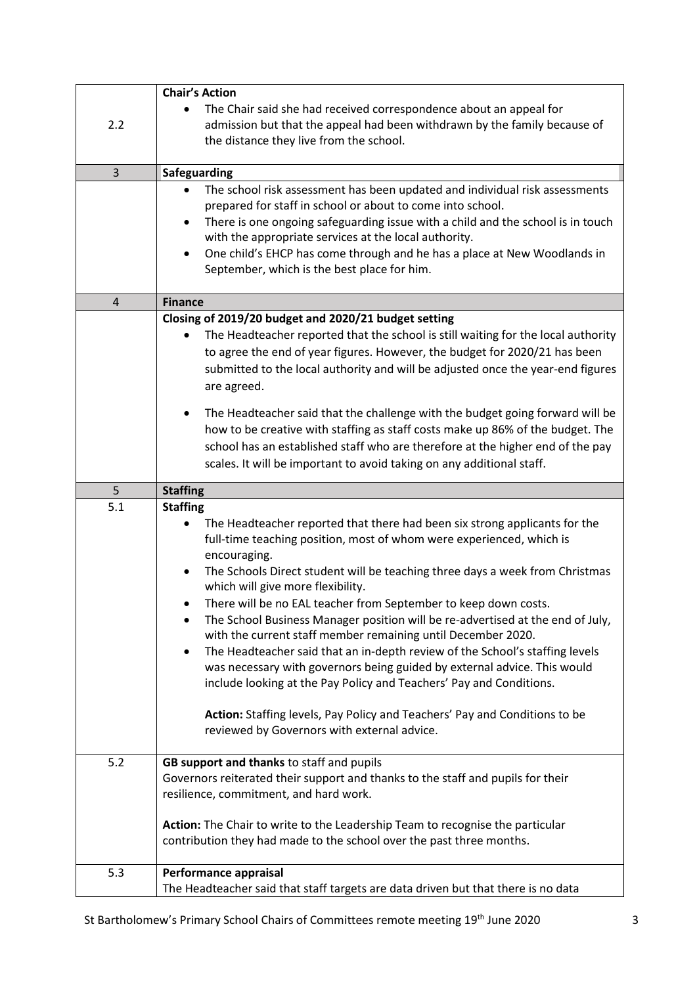|                | <b>Chair's Action</b>                                                                                                                                                                                                                                                                                                                                                                                                                                                                                                                                                                                                                                                                                                                                                                                                                                                        |
|----------------|------------------------------------------------------------------------------------------------------------------------------------------------------------------------------------------------------------------------------------------------------------------------------------------------------------------------------------------------------------------------------------------------------------------------------------------------------------------------------------------------------------------------------------------------------------------------------------------------------------------------------------------------------------------------------------------------------------------------------------------------------------------------------------------------------------------------------------------------------------------------------|
| 2.2            | The Chair said she had received correspondence about an appeal for<br>admission but that the appeal had been withdrawn by the family because of<br>the distance they live from the school.                                                                                                                                                                                                                                                                                                                                                                                                                                                                                                                                                                                                                                                                                   |
|                |                                                                                                                                                                                                                                                                                                                                                                                                                                                                                                                                                                                                                                                                                                                                                                                                                                                                              |
| 3              | Safeguarding                                                                                                                                                                                                                                                                                                                                                                                                                                                                                                                                                                                                                                                                                                                                                                                                                                                                 |
|                | The school risk assessment has been updated and individual risk assessments<br>prepared for staff in school or about to come into school.<br>There is one ongoing safeguarding issue with a child and the school is in touch<br>with the appropriate services at the local authority.<br>One child's EHCP has come through and he has a place at New Woodlands in<br>$\bullet$<br>September, which is the best place for him.                                                                                                                                                                                                                                                                                                                                                                                                                                                |
|                |                                                                                                                                                                                                                                                                                                                                                                                                                                                                                                                                                                                                                                                                                                                                                                                                                                                                              |
| $\overline{4}$ | <b>Finance</b>                                                                                                                                                                                                                                                                                                                                                                                                                                                                                                                                                                                                                                                                                                                                                                                                                                                               |
|                | Closing of 2019/20 budget and 2020/21 budget setting                                                                                                                                                                                                                                                                                                                                                                                                                                                                                                                                                                                                                                                                                                                                                                                                                         |
|                | The Headteacher reported that the school is still waiting for the local authority<br>to agree the end of year figures. However, the budget for 2020/21 has been<br>submitted to the local authority and will be adjusted once the year-end figures<br>are agreed.                                                                                                                                                                                                                                                                                                                                                                                                                                                                                                                                                                                                            |
|                | The Headteacher said that the challenge with the budget going forward will be<br>٠<br>how to be creative with staffing as staff costs make up 86% of the budget. The<br>school has an established staff who are therefore at the higher end of the pay<br>scales. It will be important to avoid taking on any additional staff.                                                                                                                                                                                                                                                                                                                                                                                                                                                                                                                                              |
| 5              | <b>Staffing</b>                                                                                                                                                                                                                                                                                                                                                                                                                                                                                                                                                                                                                                                                                                                                                                                                                                                              |
| 5.1            | <b>Staffing</b>                                                                                                                                                                                                                                                                                                                                                                                                                                                                                                                                                                                                                                                                                                                                                                                                                                                              |
|                | The Headteacher reported that there had been six strong applicants for the<br>full-time teaching position, most of whom were experienced, which is<br>encouraging.<br>The Schools Direct student will be teaching three days a week from Christmas<br>which will give more flexibility.<br>There will be no EAL teacher from September to keep down costs.<br>The School Business Manager position will be re-advertised at the end of July,<br>with the current staff member remaining until December 2020.<br>The Headteacher said that an in-depth review of the School's staffing levels<br>was necessary with governors being guided by external advice. This would<br>include looking at the Pay Policy and Teachers' Pay and Conditions.<br>Action: Staffing levels, Pay Policy and Teachers' Pay and Conditions to be<br>reviewed by Governors with external advice. |
| 5.2            | GB support and thanks to staff and pupils                                                                                                                                                                                                                                                                                                                                                                                                                                                                                                                                                                                                                                                                                                                                                                                                                                    |
|                | Governors reiterated their support and thanks to the staff and pupils for their<br>resilience, commitment, and hard work.                                                                                                                                                                                                                                                                                                                                                                                                                                                                                                                                                                                                                                                                                                                                                    |
|                | Action: The Chair to write to the Leadership Team to recognise the particular                                                                                                                                                                                                                                                                                                                                                                                                                                                                                                                                                                                                                                                                                                                                                                                                |
|                | contribution they had made to the school over the past three months.                                                                                                                                                                                                                                                                                                                                                                                                                                                                                                                                                                                                                                                                                                                                                                                                         |
| 5.3            | Performance appraisal                                                                                                                                                                                                                                                                                                                                                                                                                                                                                                                                                                                                                                                                                                                                                                                                                                                        |
|                | The Headteacher said that staff targets are data driven but that there is no data                                                                                                                                                                                                                                                                                                                                                                                                                                                                                                                                                                                                                                                                                                                                                                                            |